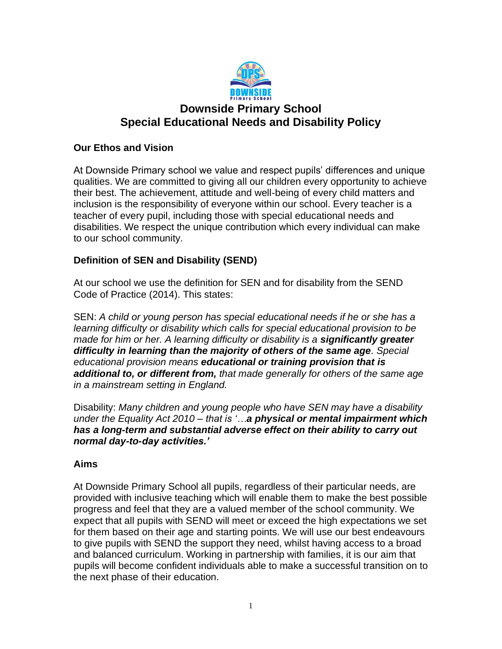

# **Downside Primary School Special Educational Needs and Disability Policy**

# **Our Ethos and Vision**

At Downside Primary school we value and respect pupils' differences and unique qualities. We are committed to giving all our children every opportunity to achieve their best. The achievement, attitude and well-being of every child matters and inclusion is the responsibility of everyone within our school. Every teacher is a teacher of every pupil, including those with special educational needs and disabilities. We respect the unique contribution which every individual can make to our school community.

# **Definition of SEN and Disability (SEND)**

At our school we use the definition for SEN and for disability from the SEND Code of Practice (2014). This states:

SEN: *A child or young person has special educational needs if he or she has a learning difficulty or disability which calls for special educational provision to be made for him or her. A learning difficulty or disability is a <i>significantly greater difficulty in learning than the majority of others of the same age. Special educational provision means educational or training provision that is additional to, or different from, that made generally for others of the same age in a mainstream setting in England.* 

Disability: *Many children and young people who have SEN may have a disability under the Equality Act 2010 – that is '…a physical or mental impairment which has a long-term and substantial adverse effect on their ability to carry out normal day-to-day activities.'* 

#### **Aims**

At Downside Primary School all pupils, regardless of their particular needs, are provided with inclusive teaching which will enable them to make the best possible progress and feel that they are a valued member of the school community. We expect that all pupils with SEND will meet or exceed the high expectations we set for them based on their age and starting points. We will use our best endeavours to give pupils with SEND the support they need, whilst having access to a broad and balanced curriculum. Working in partnership with families, it is our aim that pupils will become confident individuals able to make a successful transition on to the next phase of their education.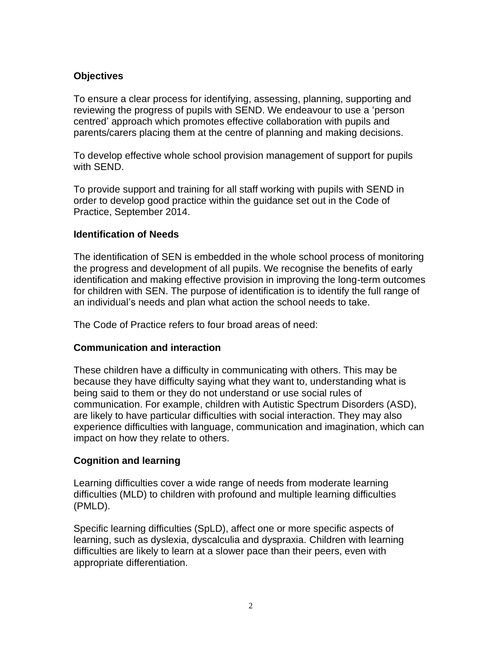# **Objectives**

To ensure a clear process for identifying, assessing, planning, supporting and reviewing the progress of pupils with SEND. We endeavour to use a 'person centred' approach which promotes effective collaboration with pupils and parents/carers placing them at the centre of planning and making decisions.

To develop effective whole school provision management of support for pupils with SEND.

To provide support and training for all staff working with pupils with SEND in order to develop good practice within the guidance set out in the Code of Practice, September 2014.

#### **Identification of Needs**

The identification of SEN is embedded in the whole school process of monitoring the progress and development of all pupils. We recognise the benefits of early identification and making effective provision in improving the long-term outcomes for children with SEN. The purpose of identification is to identify the full range of an individual's needs and plan what action the school needs to take.

The Code of Practice refers to four broad areas of need:

#### **Communication and interaction**

These children have a difficulty in communicating with others. This may be because they have difficulty saying what they want to, understanding what is being said to them or they do not understand or use social rules of communication. For example, children with Autistic Spectrum Disorders (ASD), are likely to have particular difficulties with social interaction. They may also experience difficulties with language, communication and imagination, which can impact on how they relate to others.

#### **Cognition and learning**

Learning difficulties cover a wide range of needs from moderate learning difficulties (MLD) to children with profound and multiple learning difficulties (PMLD).

Specific learning difficulties (SpLD), affect one or more specific aspects of learning, such as dyslexia, dyscalculia and dyspraxia. Children with learning difficulties are likely to learn at a slower pace than their peers, even with appropriate differentiation.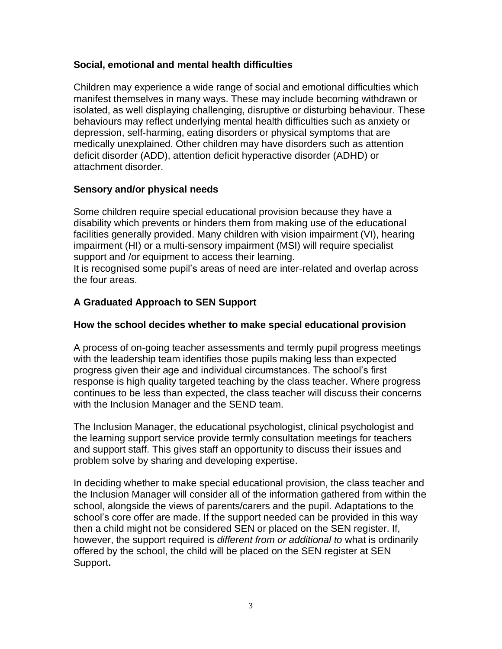### **Social, emotional and mental health difficulties**

Children may experience a wide range of social and emotional difficulties which manifest themselves in many ways. These may include becoming withdrawn or isolated, as well displaying challenging, disruptive or disturbing behaviour. These behaviours may reflect underlying mental health difficulties such as anxiety or depression, self-harming, eating disorders or physical symptoms that are medically unexplained. Other children may have disorders such as attention deficit disorder (ADD), attention deficit hyperactive disorder (ADHD) or attachment disorder.

### **Sensory and/or physical needs**

Some children require special educational provision because they have a disability which prevents or hinders them from making use of the educational facilities generally provided. Many children with vision impairment (VI), hearing impairment (HI) or a multi-sensory impairment (MSI) will require specialist support and /or equipment to access their learning.

It is recognised some pupil's areas of need are inter-related and overlap across the four areas.

# **A Graduated Approach to SEN Support**

### **How the school decides whether to make special educational provision**

A process of on-going teacher assessments and termly pupil progress meetings with the leadership team identifies those pupils making less than expected progress given their age and individual circumstances. The school's first response is high quality targeted teaching by the class teacher. Where progress continues to be less than expected, the class teacher will discuss their concerns with the Inclusion Manager and the SEND team.

The Inclusion Manager, the educational psychologist, clinical psychologist and the learning support service provide termly consultation meetings for teachers and support staff. This gives staff an opportunity to discuss their issues and problem solve by sharing and developing expertise.

In deciding whether to make special educational provision, the class teacher and the Inclusion Manager will consider all of the information gathered from within the school, alongside the views of parents/carers and the pupil. Adaptations to the school's core offer are made. If the support needed can be provided in this way then a child might not be considered SEN or placed on the SEN register. If, however, the support required is *different from or additional to* what is ordinarily offered by the school, the child will be placed on the SEN register at SEN Support**.**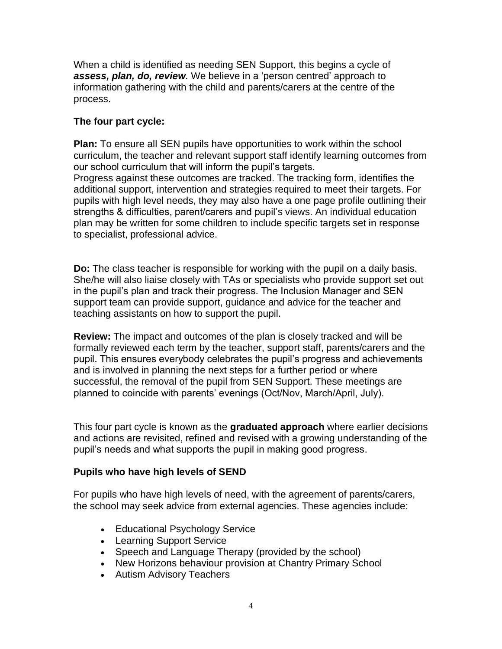When a child is identified as needing SEN Support, this begins a cycle of *assess, plan, do, review.* We believe in a 'person centred' approach to information gathering with the child and parents/carers at the centre of the process.

### **The four part cycle:**

**Plan:** To ensure all SEN pupils have opportunities to work within the school curriculum, the teacher and relevant support staff identify learning outcomes from our school curriculum that will inform the pupil's targets. Progress against these outcomes are tracked. The tracking form, identifies the additional support, intervention and strategies required to meet their targets. For pupils with high level needs, they may also have a one page profile outlining their strengths & difficulties, parent/carers and pupil's views. An individual education plan may be written for some children to include specific targets set in response to specialist, professional advice.

**Do:** The class teacher is responsible for working with the pupil on a daily basis. She/he will also liaise closely with TAs or specialists who provide support set out in the pupil's plan and track their progress. The Inclusion Manager and SEN support team can provide support, guidance and advice for the teacher and teaching assistants on how to support the pupil.

**Review:** The impact and outcomes of the plan is closely tracked and will be formally reviewed each term by the teacher, support staff, parents/carers and the pupil. This ensures everybody celebrates the pupil's progress and achievements and is involved in planning the next steps for a further period or where successful, the removal of the pupil from SEN Support. These meetings are planned to coincide with parents' evenings (Oct/Nov, March/April, July).

This four part cycle is known as the **graduated approach** where earlier decisions and actions are revisited, refined and revised with a growing understanding of the pupil's needs and what supports the pupil in making good progress.

# **Pupils who have high levels of SEND**

For pupils who have high levels of need, with the agreement of parents/carers, the school may seek advice from external agencies. These agencies include:

- Educational Psychology Service
- Learning Support Service
- Speech and Language Therapy (provided by the school)
- New Horizons behaviour provision at Chantry Primary School
- Autism Advisory Teachers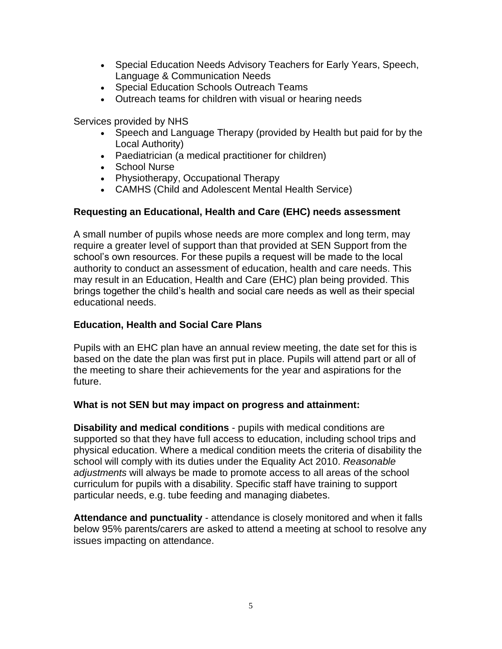- Special Education Needs Advisory Teachers for Early Years, Speech, Language & Communication Needs
- Special Education Schools Outreach Teams
- Outreach teams for children with visual or hearing needs

Services provided by NHS

- Speech and Language Therapy (provided by Health but paid for by the Local Authority)
- Paediatrician (a medical practitioner for children)
- School Nurse
- Physiotherapy, Occupational Therapy
- CAMHS (Child and Adolescent Mental Health Service)

### **Requesting an Educational, Health and Care (EHC) needs assessment**

A small number of pupils whose needs are more complex and long term, may require a greater level of support than that provided at SEN Support from the school's own resources. For these pupils a request will be made to the local authority to conduct an assessment of education, health and care needs. This may result in an Education, Health and Care (EHC) plan being provided. This brings together the child's health and social care needs as well as their special educational needs.

#### **Education, Health and Social Care Plans**

Pupils with an EHC plan have an annual review meeting, the date set for this is based on the date the plan was first put in place. Pupils will attend part or all of the meeting to share their achievements for the year and aspirations for the future.

#### **What is not SEN but may impact on progress and attainment:**

**Disability and medical conditions** - pupils with medical conditions are supported so that they have full access to education, including school trips and physical education. Where a medical condition meets the criteria of disability the school will comply with its duties under the Equality Act 2010. *Reasonable adjustments* will always be made to promote access to all areas of the school curriculum for pupils with a disability. Specific staff have training to support particular needs, e.g. tube feeding and managing diabetes.

**Attendance and punctuality** - attendance is closely monitored and when it falls below 95% parents/carers are asked to attend a meeting at school to resolve any issues impacting on attendance.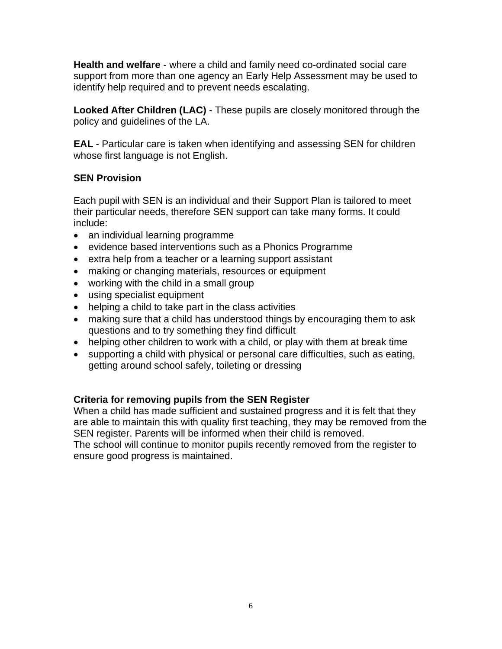**Health and welfare** - where a child and family need co-ordinated social care support from more than one agency an Early Help Assessment may be used to identify help required and to prevent needs escalating.

**Looked After Children (LAC)** - These pupils are closely monitored through the policy and guidelines of the LA.

**EAL** - Particular care is taken when identifying and assessing SEN for children whose first language is not English.

# **SEN Provision**

Each pupil with SEN is an individual and their Support Plan is tailored to meet their particular needs, therefore SEN support can take many forms. It could include:

- an individual learning programme
- evidence based interventions such as a Phonics Programme
- extra help from a teacher or a learning support assistant
- making or changing materials, resources or equipment
- working with the child in a small group
- using specialist equipment
- helping a child to take part in the class activities
- making sure that a child has understood things by encouraging them to ask questions and to try something they find difficult
- helping other children to work with a child, or play with them at break time
- supporting a child with physical or personal care difficulties, such as eating, getting around school safely, toileting or dressing

# **Criteria for removing pupils from the SEN Register**

When a child has made sufficient and sustained progress and it is felt that they are able to maintain this with quality first teaching, they may be removed from the SEN register. Parents will be informed when their child is removed. The school will continue to monitor pupils recently removed from the register to ensure good progress is maintained.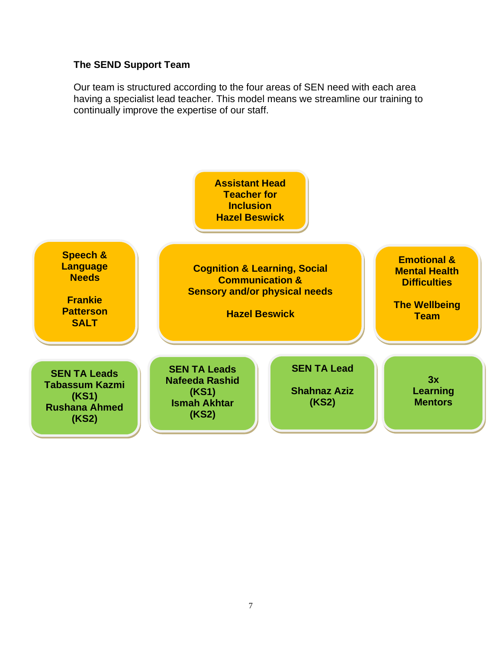### **The SEND Support Team**

Our team is structured according to the four areas of SEN need with each area having a specialist lead teacher. This model means we streamline our training to continually improve the expertise of our staff.

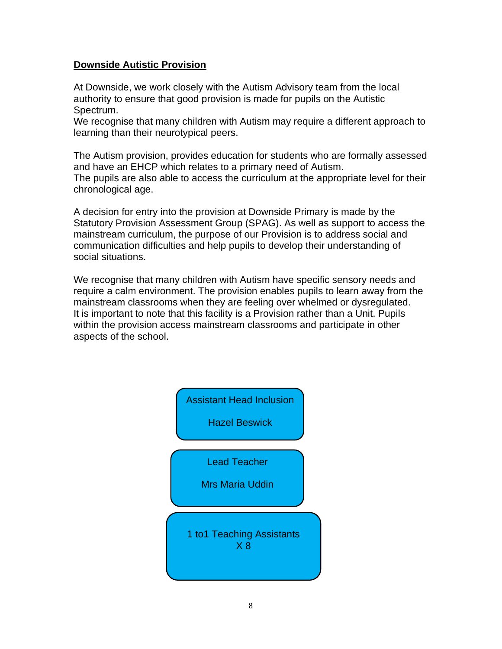#### **Downside Autistic Provision**

At Downside, we work closely with the Autism Advisory team from the local authority to ensure that good provision is made for pupils on the Autistic Spectrum.

We recognise that many children with Autism may require a different approach to learning than their neurotypical peers.

The Autism provision, provides education for students who are formally assessed and have an EHCP which relates to a primary need of Autism. The pupils are also able to access the curriculum at the appropriate level for their chronological age.

A decision for entry into the provision at Downside Primary is made by the Statutory Provision Assessment Group (SPAG). As well as support to access the mainstream curriculum, the purpose of our Provision is to address social and communication difficulties and help pupils to develop their understanding of social situations.

We recognise that many children with Autism have specific sensory needs and require a calm environment. The provision enables pupils to learn away from the mainstream classrooms when they are feeling over whelmed or dysregulated. It is important to note that this facility is a Provision rather than a Unit. Pupils within the provision access mainstream classrooms and participate in other aspects of the school.

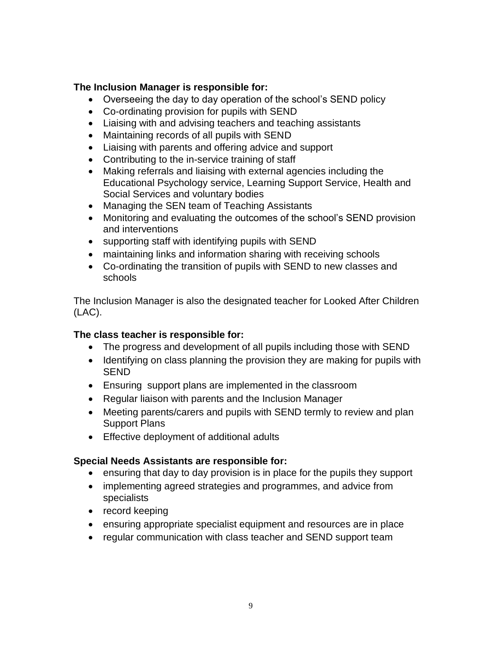### **The Inclusion Manager is responsible for:**

- Overseeing the day to day operation of the school's SEND policy
- Co-ordinating provision for pupils with SEND
- Liaising with and advising teachers and teaching assistants
- Maintaining records of all pupils with SEND
- Liaising with parents and offering advice and support
- Contributing to the in-service training of staff
- Making referrals and liaising with external agencies including the Educational Psychology service, Learning Support Service, Health and Social Services and voluntary bodies
- Managing the SEN team of Teaching Assistants
- Monitoring and evaluating the outcomes of the school's SEND provision and interventions
- supporting staff with identifying pupils with SEND
- maintaining links and information sharing with receiving schools
- Co-ordinating the transition of pupils with SEND to new classes and schools

The Inclusion Manager is also the designated teacher for Looked After Children (LAC).

# **The class teacher is responsible for:**

- The progress and development of all pupils including those with SEND
- Identifying on class planning the provision they are making for pupils with SEND
- Ensuring support plans are implemented in the classroom
- Regular liaison with parents and the Inclusion Manager
- Meeting parents/carers and pupils with SEND termly to review and plan Support Plans
- Effective deployment of additional adults

# **Special Needs Assistants are responsible for:**

- ensuring that day to day provision is in place for the pupils they support
- implementing agreed strategies and programmes, and advice from specialists
- record keeping
- ensuring appropriate specialist equipment and resources are in place
- regular communication with class teacher and SEND support team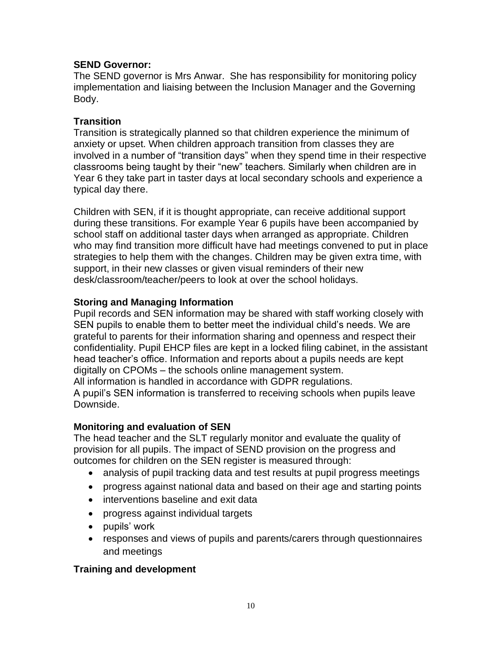### **SEND Governor:**

The SEND governor is Mrs Anwar. She has responsibility for monitoring policy implementation and liaising between the Inclusion Manager and the Governing Body.

### **Transition**

Transition is strategically planned so that children experience the minimum of anxiety or upset. When children approach transition from classes they are involved in a number of "transition days" when they spend time in their respective classrooms being taught by their "new" teachers. Similarly when children are in Year 6 they take part in taster days at local secondary schools and experience a typical day there.

Children with SEN, if it is thought appropriate, can receive additional support during these transitions. For example Year 6 pupils have been accompanied by school staff on additional taster days when arranged as appropriate. Children who may find transition more difficult have had meetings convened to put in place strategies to help them with the changes. Children may be given extra time, with support, in their new classes or given visual reminders of their new desk/classroom/teacher/peers to look at over the school holidays.

### **Storing and Managing Information**

Pupil records and SEN information may be shared with staff working closely with SEN pupils to enable them to better meet the individual child's needs. We are grateful to parents for their information sharing and openness and respect their confidentiality. Pupil EHCP files are kept in a locked filing cabinet, in the assistant head teacher's office. Information and reports about a pupils needs are kept digitally on CPOMs – the schools online management system.

All information is handled in accordance with GDPR regulations.

A pupil's SEN information is transferred to receiving schools when pupils leave Downside.

# **Monitoring and evaluation of SEN**

The head teacher and the SLT regularly monitor and evaluate the quality of provision for all pupils. The impact of SEND provision on the progress and outcomes for children on the SEN register is measured through:

- analysis of pupil tracking data and test results at pupil progress meetings
- progress against national data and based on their age and starting points
- interventions baseline and exit data
- progress against individual targets
- pupils' work
- responses and views of pupils and parents/carers through questionnaires and meetings

#### **Training and development**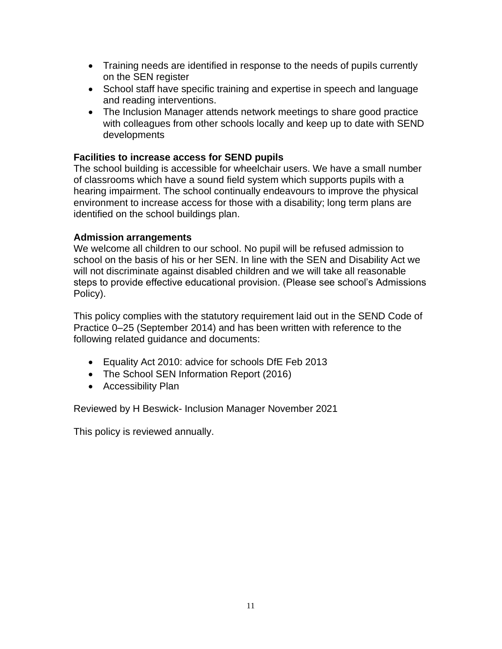- Training needs are identified in response to the needs of pupils currently on the SEN register
- School staff have specific training and expertise in speech and language and reading interventions.
- The Inclusion Manager attends network meetings to share good practice with colleagues from other schools locally and keep up to date with SEND developments

### **Facilities to increase access for SEND pupils**

The school building is accessible for wheelchair users. We have a small number of classrooms which have a sound field system which supports pupils with a hearing impairment. The school continually endeavours to improve the physical environment to increase access for those with a disability; long term plans are identified on the school buildings plan.

#### **Admission arrangements**

We welcome all children to our school. No pupil will be refused admission to school on the basis of his or her SEN. In line with the SEN and Disability Act we will not discriminate against disabled children and we will take all reasonable steps to provide effective educational provision. (Please see school's Admissions Policy).

This policy complies with the statutory requirement laid out in the SEND Code of Practice 0–25 (September 2014) and has been written with reference to the following related guidance and documents:

- Equality Act 2010: advice for schools DfE Feb 2013
- The School SEN Information Report (2016)
- Accessibility Plan

Reviewed by H Beswick- Inclusion Manager November 2021

This policy is reviewed annually.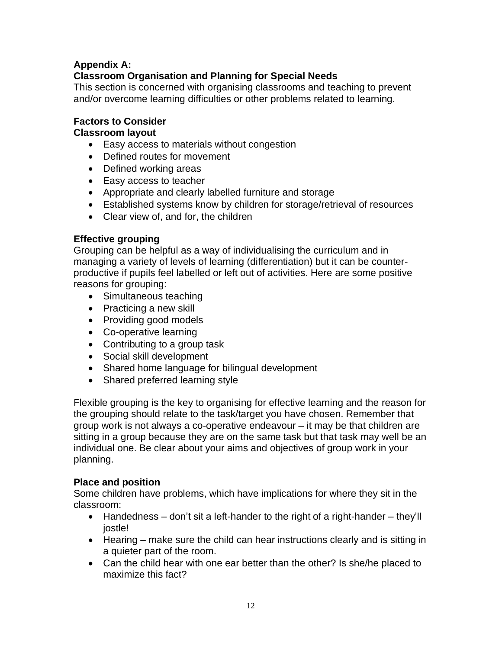# **Appendix A:**

# **Classroom Organisation and Planning for Special Needs**

This section is concerned with organising classrooms and teaching to prevent and/or overcome learning difficulties or other problems related to learning.

# **Factors to Consider**

#### **Classroom layout**

- Easy access to materials without congestion
- Defined routes for movement
- Defined working areas
- Easy access to teacher
- Appropriate and clearly labelled furniture and storage
- Established systems know by children for storage/retrieval of resources
- Clear view of, and for, the children

### **Effective grouping**

Grouping can be helpful as a way of individualising the curriculum and in managing a variety of levels of learning (differentiation) but it can be counterproductive if pupils feel labelled or left out of activities. Here are some positive reasons for grouping:

- Simultaneous teaching
- Practicing a new skill
- Providing good models
- Co-operative learning
- Contributing to a group task
- Social skill development
- Shared home language for bilingual development
- Shared preferred learning style

Flexible grouping is the key to organising for effective learning and the reason for the grouping should relate to the task/target you have chosen. Remember that group work is not always a co-operative endeavour – it may be that children are sitting in a group because they are on the same task but that task may well be an individual one. Be clear about your aims and objectives of group work in your planning.

#### **Place and position**

Some children have problems, which have implications for where they sit in the classroom:

- Handedness don't sit a left-hander to the right of a right-hander they'll jostle!
- Hearing make sure the child can hear instructions clearly and is sitting in a quieter part of the room.
- Can the child hear with one ear better than the other? Is she/he placed to maximize this fact?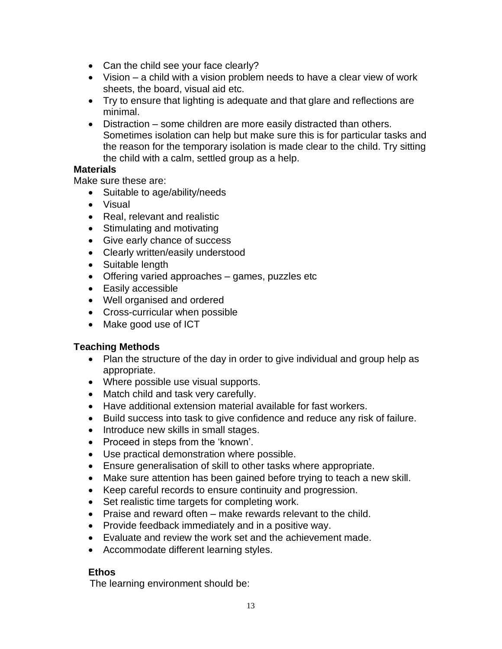- Can the child see your face clearly?
- Vision a child with a vision problem needs to have a clear view of work sheets, the board, visual aid etc.
- Try to ensure that lighting is adequate and that glare and reflections are minimal.
- Distraction some children are more easily distracted than others. Sometimes isolation can help but make sure this is for particular tasks and the reason for the temporary isolation is made clear to the child. Try sitting the child with a calm, settled group as a help.

#### **Materials**

Make sure these are:

- Suitable to age/ability/needs
- Visual
- Real, relevant and realistic
- Stimulating and motivating
- Give early chance of success
- Clearly written/easily understood
- Suitable length
- Offering varied approaches games, puzzles etc
- Easily accessible
- Well organised and ordered
- Cross-curricular when possible
- Make good use of ICT

# **Teaching Methods**

- Plan the structure of the day in order to give individual and group help as appropriate.
- Where possible use visual supports.
- Match child and task very carefully.
- Have additional extension material available for fast workers.
- Build success into task to give confidence and reduce any risk of failure.
- Introduce new skills in small stages.
- Proceed in steps from the 'known'.
- Use practical demonstration where possible.
- Ensure generalisation of skill to other tasks where appropriate.
- Make sure attention has been gained before trying to teach a new skill.
- Keep careful records to ensure continuity and progression.
- Set realistic time targets for completing work.
- Praise and reward often make rewards relevant to the child.
- Provide feedback immediately and in a positive way.
- Evaluate and review the work set and the achievement made.
- Accommodate different learning styles.

#### **Ethos**

The learning environment should be: